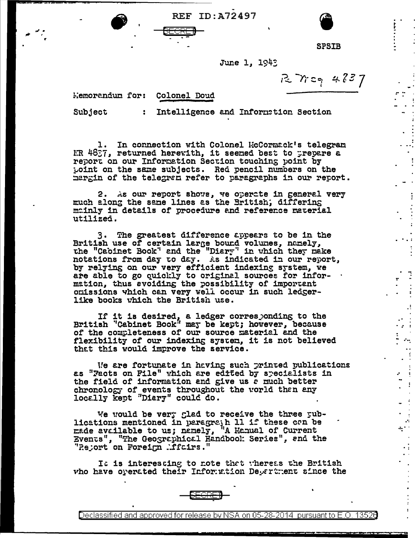REF ID: A72497



**SPSIB** 

 $\mathbb{R}^3$ 

 $\sim$  $\frac{1}{2}$ 

ţ

 $\sim 10$ 

 $\begin{array}{c} \frac{1}{2} \\ \frac{1}{2} \end{array}$ 

J.

 $\frac{1}{2}$ 

 $\mathcal{L}_{\mathcal{H}_1}$ 

 $\ddot{\phantom{1}}$  . T,

 $\frac{1}{2}$ 

 $\mathcal{A}$ 

 $\sim$ 

 $\sim$  $\frac{1}{2}$  ,  $\frac{1}{2}$ 

 $\mathcal{A}$  $\ddot{\phantom{a}}$  :

 $\bullet$   $\rightarrow$  $\mathcal{L}_{\mathcal{A}}$ 

 $\mathcal{L}^{\pm}$ 

June 1, 1943

 $R$   $\gamma$  co  $4837$ 

Memorandum for: Colonel Doud

Subject

: Intelligence and Information Section

1. In connection with Colonel McCormack's telegram ER 4637, returned herewith, it seemed best to prepare a report on our Information Section touching point by point on the same subjects. Red pencil numbers on the margin of the telegram refer to paragraphs in our report.

2. As our report shows, we operate in general very much along the same lines as the British; differing mainly in details of procedure and reference material utilized.

3. The greatest difference appears to be in the British use of certain large bound volumes, namely,<br>the "Cabinet Book" and the "Diary" in which they make<br>notations from day to day. As indicated in our report, by relying on our very efficient indexing system, we are able to go quickly to original sources for information, thus evolding the possibility of important omissions which can very well occur in such ledgerlike books which the British use.

If it is desired, a ledger corresponding to the<br>British "Cabinet Book" may be kept; however, because of the completeness of our source material and the flexibility of our indexing system, it is not believed that this would improve the service.

We are fortunate in having such printed publications as "Facts on File" which are edited by specialists in the field of information and give us a much better chronology of events throughout the world then any locally kept "Diary" could do.

We would be very glad to receive the three publications mentioned in paragraph 11 if these can be<br>made available to us; namely, "A Manual of Current Events", "The Geographical Handbook Series", and the "Report on Foreign Miffairs."

It is interesting to note that whereas the British who have operated their Information Department since the